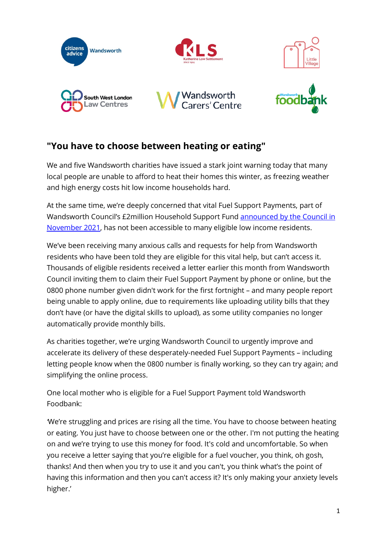

# **"You have to choose between heating or eating"**

We and five Wandsworth charities have issued a stark joint warning today that many local people are unable to afford to heat their homes this winter, as freezing weather and high energy costs hit low income households hard.

At the same time, we're deeply concerned that vital Fuel Support Payments, part of Wandsworth Council's £2million Household Support Fund announced by the Council in [November 2021,](https://www.wandsworth.gov.uk/news/2021-news/news-november-2021/more-than-2m-to-help-wandsworth-families-through-the-winter/) has not been accessible to many eligible low income residents.

We've been receiving many anxious calls and requests for help from Wandsworth residents who have been told they are eligible for this vital help, but can't access it. Thousands of eligible residents received a letter earlier this month from Wandsworth Council inviting them to claim their Fuel Support Payment by phone or online, but the 0800 phone number given didn't work for the first fortnight – and many people report being unable to apply online, due to requirements like uploading utility bills that they don't have (or have the digital skills to upload), as some utility companies no longer automatically provide monthly bills.

As charities together, we're urging Wandsworth Council to urgently improve and accelerate its delivery of these desperately-needed Fuel Support Payments – including letting people know when the 0800 number is finally working, so they can try again; and simplifying the online process.

One local mother who is eligible for a Fuel Support Payment told Wandsworth Foodbank:

*'*We're struggling and prices are rising all the time. You have to choose between heating or eating. You just have to choose between one or the other. I'm not putting the heating on and we're trying to use this money for food. It's cold and uncomfortable. So when you receive a letter saying that you're eligible for a fuel voucher, you think, oh gosh, thanks! And then when you try to use it and you can't, you think what's the point of having this information and then you can't access it? It's only making your anxiety levels higher.'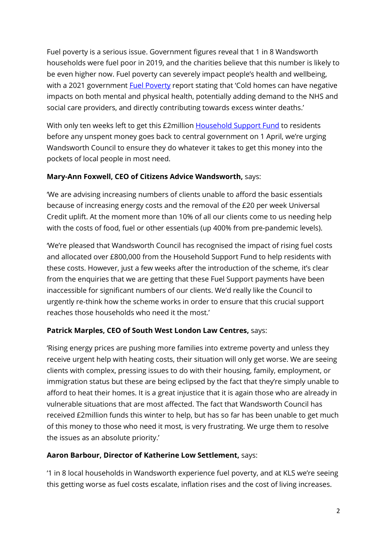Fuel poverty is a serious issue. Government figures reveal that 1 in 8 Wandsworth households were fuel poor in 2019, and the charities believe that this number is likely to be even higher now. Fuel poverty can severely impact people's health and wellbeing, with a 2021 government [Fuel Poverty](https://researchbriefings.files.parliament.uk/documents/CBP-8730/CBP-8730.pdf) report stating that 'Cold homes can have negative impacts on both mental and physical health, potentially adding demand to the NHS and social care providers, and directly contributing towards excess winter deaths.'

With only ten weeks left to get this £2million [Household Support Fund](https://www.gov.uk/government/news/government-launches-500m-support-for-vulnerable-households-over-winter) to residents before any unspent money goes back to central government on 1 April, we're urging Wandsworth Council to ensure they do whatever it takes to get this money into the pockets of local people in most need.

## **Mary-Ann Foxwell, CEO of Citizens Advice Wandsworth,** says:

'We are advising increasing numbers of clients unable to afford the basic essentials because of increasing energy costs and the removal of the £20 per week Universal Credit uplift. At the moment more than 10% of all our clients come to us needing help with the costs of food, fuel or other essentials (up 400% from pre-pandemic levels).

'We're pleased that Wandsworth Council has recognised the impact of rising fuel costs and allocated over £800,000 from the Household Support Fund to help residents with these costs. However, just a few weeks after the introduction of the scheme, it's clear from the enquiries that we are getting that these Fuel Support payments have been inaccessible for significant numbers of our clients. We'd really like the Council to urgently re-think how the scheme works in order to ensure that this crucial support reaches those households who need it the most.'

# **Patrick Marples, CEO of South West London Law Centres,** says:

'Rising energy prices are pushing more families into extreme poverty and unless they receive urgent help with heating costs, their situation will only get worse. We are seeing clients with complex, pressing issues to do with their housing, family, employment, or immigration status but these are being eclipsed by the fact that they're simply unable to afford to heat their homes. It is a great injustice that it is again those who are already in vulnerable situations that are most affected. The fact that Wandsworth Council has received £2million funds this winter to help, but has so far has been unable to get much of this money to those who need it most, is very frustrating. We urge them to resolve the issues as an absolute priority.'

#### **Aaron Barbour, Director of Katherine Low Settlement,** says:

'1 in 8 local households in Wandsworth experience fuel poverty, and at KLS we're seeing this getting worse as fuel costs escalate, inflation rises and the cost of living increases.